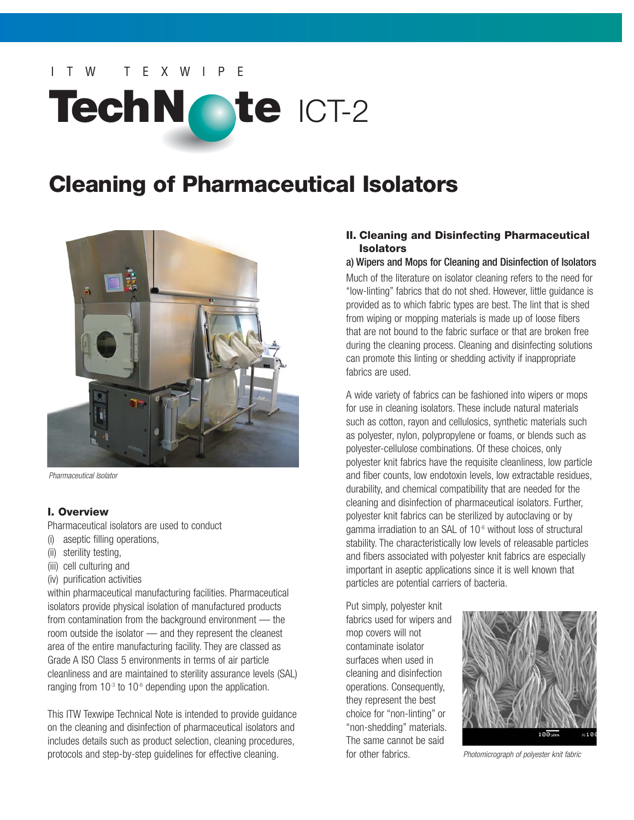# W TFXWIPF TechNote ICT-2

# **Cleaning of Pharmaceutical Isolators**



Pharmaceutical Isolator

# **I. Overview**

Pharmaceutical isolators are used to conduct

- (i) aseptic filling operations,
- (ii) sterility testing,
- (iii) cell culturing and
- (iv) purification activities

within pharmaceutical manufacturing facilities. Pharmaceutical isolators provide physical isolation of manufactured products from contamination from the background environment — the room outside the isolator — and they represent the cleanest area of the entire manufacturing facility. They are classed as Grade A ISO Class 5 environments in terms of air particle cleanliness and are maintained to sterility assurance levels (SAL) ranging from  $10<sup>-3</sup>$  to  $10<sup>-6</sup>$  depending upon the application.

This ITW Texwipe Technical Note is intended to provide guidance on the cleaning and disinfection of pharmaceutical isolators and includes details such as product selection, cleaning procedures, protocols and step-by-step guidelines for effective cleaning.

# **II. Cleaning and Disinfecting Pharmaceutical Isolators**

## a) Wipers and Mops for Cleaning and Disinfection of Isolators

Much of the literature on isolator cleaning refers to the need for "low-linting" fabrics that do not shed. However, little guidance is provided as to which fabric types are best. The lint that is shed from wiping or mopping materials is made up of loose fibers that are not bound to the fabric surface or that are broken free during the cleaning process. Cleaning and disinfecting solutions can promote this linting or shedding activity if inappropriate fabrics are used.

A wide variety of fabrics can be fashioned into wipers or mops for use in cleaning isolators. These include natural materials such as cotton, rayon and cellulosics, synthetic materials such as polyester, nylon, polypropylene or foams, or blends such as polyester-cellulose combinations. Of these choices, only polyester knit fabrics have the requisite cleanliness, low particle and fiber counts, low endotoxin levels, low extractable residues, durability, and chemical compatibility that are needed for the cleaning and disinfection of pharmaceutical isolators. Further, polyester knit fabrics can be sterilized by autoclaving or by gamma irradiation to an SAL of 10<sup>-6</sup> without loss of structural stability. The characteristically low levels of releasable particles and fibers associated with polyester knit fabrics are especially important in aseptic applications since it is well known that particles are potential carriers of bacteria.

Put simply, polyester knit fabrics used for wipers and mop covers will not contaminate isolator surfaces when used in cleaning and disinfection operations. Consequently, they represent the best choice for "non-linting" or "non-shedding" materials. The same cannot be said for other fabrics. *Photomicrograph of polyester knit fabric* 

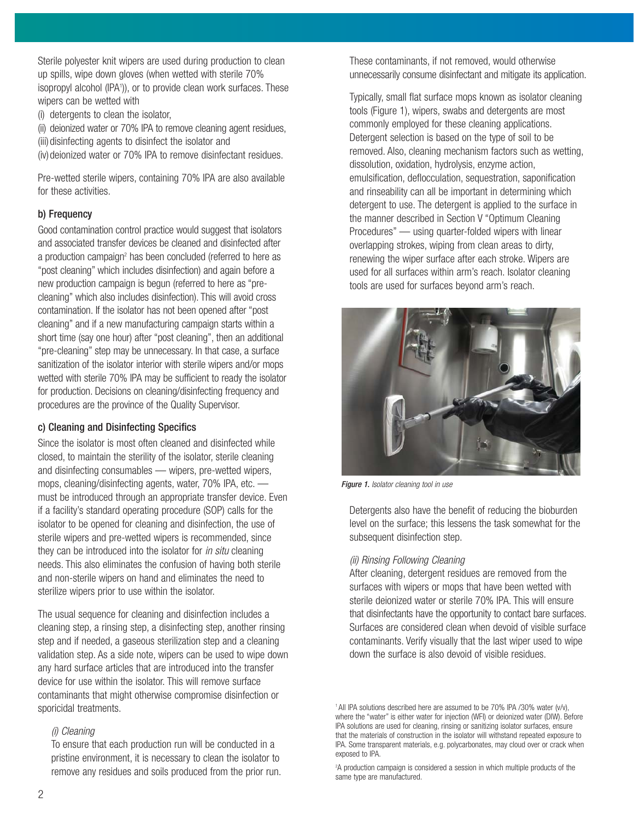Sterile polyester knit wipers are used during production to clean up spills, wipe down gloves (when wetted with sterile 70% isopropyl alcohol (IPA<sup>1</sup>)), or to provide clean work surfaces. These wipers can be wetted with

- (i) detergents to clean the isolator,
- (ii) deionized water or 70% IPA to remove cleaning agent residues,
- (iii) disinfecting agents to disinfect the isolator and

(iv)deionized water or 70% IPA to remove disinfectant residues.

Pre-wetted sterile wipers, containing 70% IPA are also available for these activities.

# b) Frequency

Good contamination control practice would suggest that isolators and associated transfer devices be cleaned and disinfected after a production campaign<sup>2</sup> has been concluded (referred to here as "post cleaning" which includes disinfection) and again before a new production campaign is begun (referred to here as "precleaning" which also includes disinfection). This will avoid cross contamination. If the isolator has not been opened after "post cleaning" and if a new manufacturing campaign starts within a short time (say one hour) after "post cleaning", then an additional "pre-cleaning" step may be unnecessary. In that case, a surface sanitization of the isolator interior with sterile wipers and/or mops wetted with sterile 70% IPA may be sufficient to ready the isolator for production. Decisions on cleaning/disinfecting frequency and procedures are the province of the Quality Supervisor.

# c) Cleaning and Disinfecting Specifics

Since the isolator is most often cleaned and disinfected while closed, to maintain the sterility of the isolator, sterile cleaning and disinfecting consumables — wipers, pre-wetted wipers, mops, cleaning/disinfecting agents, water, 70% IPA, etc. must be introduced through an appropriate transfer device. Even if a facility's standard operating procedure (SOP) calls for the isolator to be opened for cleaning and disinfection, the use of sterile wipers and pre-wetted wipers is recommended, since they can be introduced into the isolator for *in situ* cleaning needs. This also eliminates the confusion of having both sterile and non-sterile wipers on hand and eliminates the need to sterilize wipers prior to use within the isolator.

The usual sequence for cleaning and disinfection includes a cleaning step, a rinsing step, a disinfecting step, another rinsing step and if needed, a gaseous sterilization step and a cleaning validation step. As a side note, wipers can be used to wipe down any hard surface articles that are introduced into the transfer device for use within the isolator. This will remove surface contaminants that might otherwise compromise disinfection or sporicidal treatments.

# (i) Cleaning

To ensure that each production run will be conducted in a pristine environment, it is necessary to clean the isolator to remove any residues and soils produced from the prior run. These contaminants, if not removed, would otherwise unnecessarily consume disinfectant and mitigate its application.

Typically, small flat surface mops known as isolator cleaning tools (Figure 1), wipers, swabs and detergents are most commonly employed for these cleaning applications. Detergent selection is based on the type of soil to be removed. Also, cleaning mechanism factors such as wetting, dissolution, oxidation, hydrolysis, enzyme action, emulsification, deflocculation, sequestration, saponification and rinseability can all be important in determining which detergent to use. The detergent is applied to the surface in the manner described in Section V "Optimum Cleaning Procedures" — using quarter-folded wipers with linear overlapping strokes, wiping from clean areas to dirty, renewing the wiper surface after each stroke. Wipers are used for all surfaces within arm's reach. Isolator cleaning tools are used for surfaces beyond arm's reach.



Figure 1. Isolator cleaning tool in use

Detergents also have the benefit of reducing the bioburden level on the surface; this lessens the task somewhat for the subsequent disinfection step.

# (ii) Rinsing Following Cleaning

After cleaning, detergent residues are removed from the surfaces with wipers or mops that have been wetted with sterile deionized water or sterile 70% IPA. This will ensure that disinfectants have the opportunity to contact bare surfaces. Surfaces are considered clean when devoid of visible surface contaminants. Verify visually that the last wiper used to wipe down the surface is also devoid of visible residues.

<sup>&</sup>lt;sup>1</sup> All IPA solutions described here are assumed to be 70% IPA /30% water (v/v), where the "water" is either water for injection (WFI) or deionized water (DIW). Before IPA solutions are used for cleaning, rinsing or sanitizing isolator surfaces, ensure that the materials of construction in the isolator will withstand repeated exposure to IPA. Some transparent materials, e.g. polycarbonates, may cloud over or crack when exposed to IPA.

<sup>&</sup>lt;sup>2</sup>A production campaign is considered a session in which multiple products of the same type are manufactured.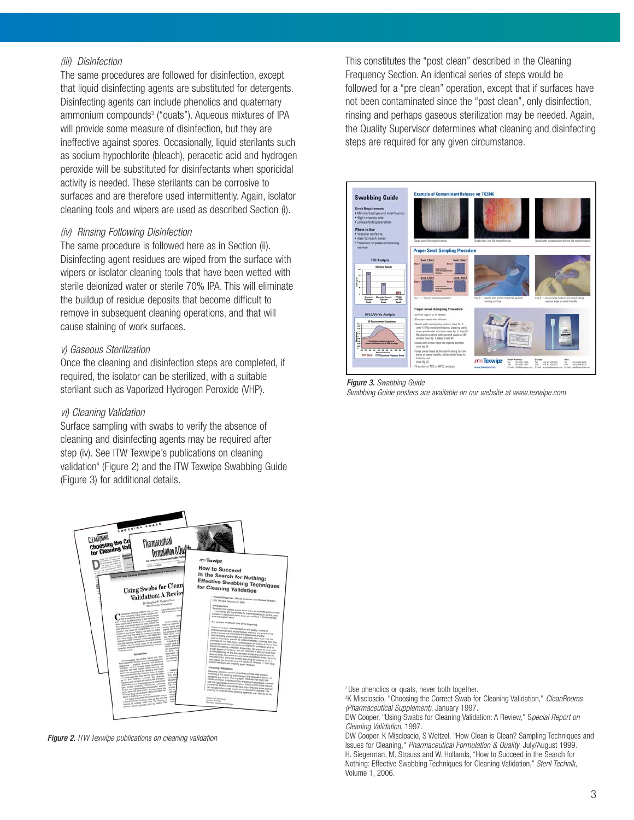#### (iii) Disinfection

The same procedures are followed for disinfection, except that liquid disinfecting agents are substituted for detergents. Disinfecting agents can include phenolics and quaternary ammonium compounds<sup>3</sup> ("quats"). Aqueous mixtures of IPA will provide some measure of disinfection, but they are ineffective against spores. Occasionally, liquid sterilants such as sodium hypochlorite (bleach), peracetic acid and hydrogen peroxide will be substituted for disinfectants when sporicidal activity is needed. These sterilants can be corrosive to surfaces and are therefore used intermittently. Again, isolator cleaning tools and wipers are used as described Section (i).

#### (iv) Rinsing Following Disinfection

The same procedure is followed here as in Section (ii). Disinfecting agent residues are wiped from the surface with wipers or isolator cleaning tools that have been wetted with sterile deionized water or sterile 70% IPA. This will eliminate the buildup of residue deposits that become difficult to remove in subsequent cleaning operations, and that will cause staining of work surfaces.

#### v) Gaseous Sterilization

Once the cleaning and disinfection steps are completed, if required, the isolator can be sterilized, with a suitable sterilant such as Vaporized Hydrogen Peroxide (VHP).

#### vi) Cleaning Validation

Surface sampling with swabs to verify the absence of cleaning and disinfecting agents may be required after step (iv). See ITW Texwipe's publications on cleaning validation<sup>4</sup> (Figure 2) and the ITW Texwipe Swabbing Guide (Figure 3) for additional details.



**Figure 2.** ITW Texwipe publications on cleaning validation

This constitutes the "post clean" described in the Cleaning Frequency Section. An identical series of steps would be followed for a "pre clean" operation, except that if surfaces have not been contaminated since the "post clean", only disinfection, rinsing and perhaps gaseous sterilization may be needed. Again, the Quality Supervisor determines what cleaning and disinfecting steps are required for any given circumstance.



Figure 3. Swabbing Guide Swabbing Guide posters are available on our website at www.texwipe.com

<sup>2</sup>Use phenolics or quats, never both together.

<sup>3</sup>K Miscioscio, "Choosing the Correct Swab for Cleaning Validation," CleanRooms (Pharmaceutical Supplement), January 1997.

DW Cooper, "Using Swabs for Cleaning Validation: A Review," Special Report on Cleaning Validation, 1997.

DW Cooper, K Miscioscio, S Weitzel, "How Clean is Clean? Sampling Techniques and Issues for Cleaning," Pharmaceutical Formulation & Quality, July/August 1999. H. Siegerman, M. Strauss and W. Hollands, "How to Succeed in the Search for Nothing: Effective Swabbing Techniques for Cleaning Validation," Steril Technik, Volume 1, 2006.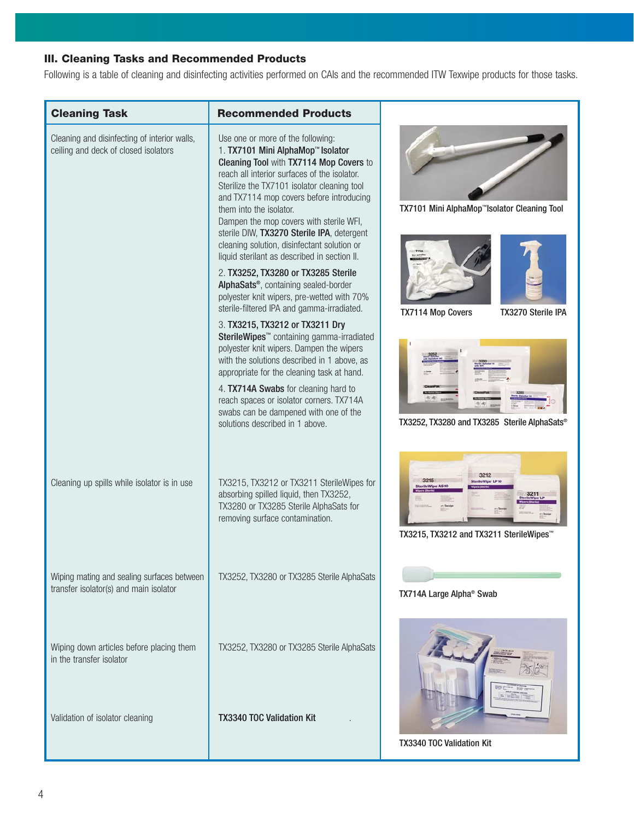# **III. Cleaning Tasks and Recommended Products**

Following is a table of cleaning and disinfecting activities performed on CAIs and the recommended ITW Texwipe products for those tasks.

| <b>Cleaning Task</b>                                                                 | <b>Recommended Products</b>                                                                                                                                                                                                                                                                                                                                                                                                                                                                                                                                                                                                                                             |                                                          |
|--------------------------------------------------------------------------------------|-------------------------------------------------------------------------------------------------------------------------------------------------------------------------------------------------------------------------------------------------------------------------------------------------------------------------------------------------------------------------------------------------------------------------------------------------------------------------------------------------------------------------------------------------------------------------------------------------------------------------------------------------------------------------|----------------------------------------------------------|
| Cleaning and disinfecting of interior walls,<br>ceiling and deck of closed isolators | Use one or more of the following:<br>1. TX7101 Mini AlphaMop™ Isolator<br>Cleaning Tool with TX7114 Mop Covers to<br>reach all interior surfaces of the isolator.<br>Sterilize the TX7101 isolator cleaning tool<br>and TX7114 mop covers before introducing<br>them into the isolator.<br>Dampen the mop covers with sterile WFI,<br>sterile DIW, TX3270 Sterile IPA, detergent<br>cleaning solution, disinfectant solution or<br>liquid sterilant as described in section II.<br>2. TX3252, TX3280 or TX3285 Sterile<br>AlphaSats <sup>®</sup> , containing sealed-border<br>polyester knit wipers, pre-wetted with 70%<br>sterile-filtered IPA and gamma-irradiated. | TX7101 Mini AlphaMop <sup>™</sup> Isolator Cleaning Tool |
|                                                                                      | 3. TX3215, TX3212 or TX3211 Dry<br>SterileWipes <sup>™</sup> containing gamma-irradiated<br>polyester knit wipers. Dampen the wipers<br>with the solutions described in 1 above, as<br>appropriate for the cleaning task at hand.<br>4. TX714A Swabs for cleaning hard to                                                                                                                                                                                                                                                                                                                                                                                               | <b>TX7114 Mop Covers</b><br>TX3270 Sterile IPA           |
|                                                                                      | reach spaces or isolator corners. TX714A<br>swabs can be dampened with one of the<br>solutions described in 1 above.                                                                                                                                                                                                                                                                                                                                                                                                                                                                                                                                                    | TX3252, TX3280 and TX3285 Sterile AlphaSats®             |
| Cleaning up spills while isolator is in use                                          | TX3215, TX3212 or TX3211 SterileWipes for<br>absorbing spilled liquid, then TX3252,<br>TX3280 or TX3285 Sterile AlphaSats for<br>removing surface contamination.                                                                                                                                                                                                                                                                                                                                                                                                                                                                                                        | TX3215, TX3212 and TX3211 SterileWipes <sup>™</sup>      |
| Wiping mating and sealing surfaces between<br>transfer isolator(s) and main isolator | TX3252, TX3280 or TX3285 Sterile AlphaSats                                                                                                                                                                                                                                                                                                                                                                                                                                                                                                                                                                                                                              | TX714A Large Alpha <sup>®</sup> Swab                     |
| Wiping down articles before placing them<br>in the transfer isolator                 | TX3252, TX3280 or TX3285 Sterile AlphaSats                                                                                                                                                                                                                                                                                                                                                                                                                                                                                                                                                                                                                              |                                                          |
| Validation of isolator cleaning                                                      | <b>TX3340 TOC Validation Kit</b>                                                                                                                                                                                                                                                                                                                                                                                                                                                                                                                                                                                                                                        | TX3340 TOC Validation Kit                                |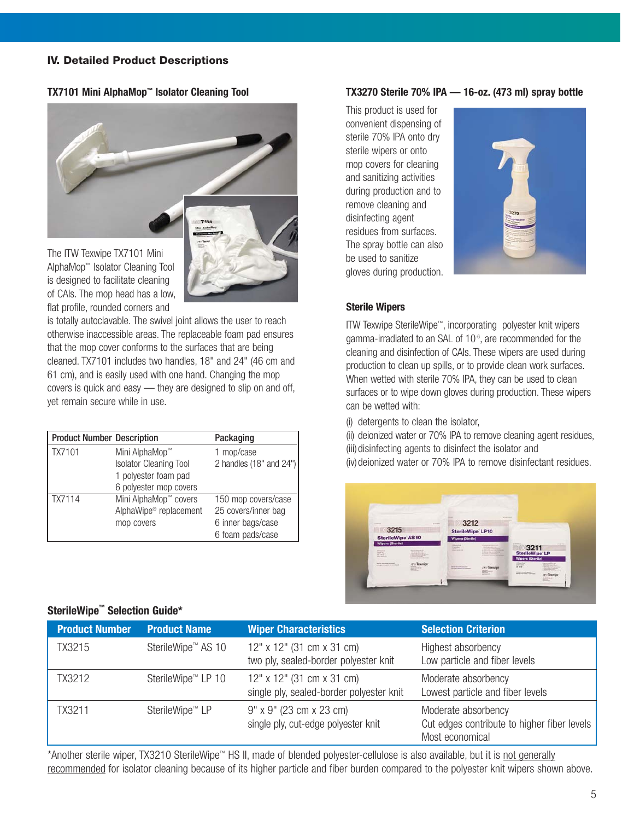# **IV. Detailed Product Descriptions**

#### **TX7101 Mini AlphaMop™ Isolator Cleaning Tool**



The ITW Texwipe TX7101 Mini AlphaMop™ Isolator Cleaning Tool is designed to facilitate cleaning of CAIs. The mop head has a low, flat profile, rounded corners and

is totally autoclavable. The swivel joint allows the user to reach otherwise inaccessible areas. The replaceable foam pad ensures that the mop cover conforms to the surfaces that are being cleaned. TX7101 includes two handles, 18" and 24" (46 cm and 61 cm), and is easily used with one hand. Changing the mop covers is quick and easy — they are designed to slip on and off, yet remain secure while in use.

| <b>Product Number Description</b> |                                    | Packaging               |
|-----------------------------------|------------------------------------|-------------------------|
| TX7101                            | Mini AlphaMop™                     | 1 mop/case              |
|                                   | <b>Isolator Cleaning Tool</b>      | 2 handles (18" and 24") |
|                                   | 1 polyester foam pad               |                         |
|                                   | 6 polyester mop covers             |                         |
| TX7114                            | Mini AlphaMop™ covers              | 150 mop covers/case     |
|                                   | AlphaWipe <sup>®</sup> replacement | 25 covers/inner bag     |
|                                   | mop covers                         | 6 inner bags/case       |
|                                   |                                    | 6 foam pads/case        |

#### **TX3270 Sterile 70% IPA — 16-oz. (473 ml) spray bottle**

This product is used for convenient dispensing of sterile 70% IPA onto dry sterile wipers or onto mop covers for cleaning and sanitizing activities during production and to remove cleaning and disinfecting agent residues from surfaces. The spray bottle can also be used to sanitize gloves during production.



## **Sterile Wipers**

ITW Texwipe SterileWipe™, incorporating polyester knit wipers gamma-irradiated to an SAL of 10-6, are recommended for the cleaning and disinfection of CAIs. These wipers are used during production to clean up spills, or to provide clean work surfaces. When wetted with sterile 70% IPA, they can be used to clean surfaces or to wipe down gloves during production. These wipers can be wetted with:

(i) detergents to clean the isolator,

(ii) deionized water or 70% IPA to remove cleaning agent residues, (iii) disinfecting agents to disinfect the isolator and (iv) deionized water or 70% IPA to remove disinfectant residues.



# **Product Number Characteristics And Selection Criterion Criterion** TX3215 SterileWipe™ AS 10 12" x 12" (31 cm x 31 cm) Highest absorbency two ply, sealed-border polyester knit Low particle and fiber levels TX3212 SterileWipe™ LP 10 12" x 12" (31 cm x 31 cm) Moderate absorbency single ply, sealed-border polyester knit Lowest particle and fiber levels TX3211 SterileWipe™ LP 9" x 9" (23 cm x 23 cm) Moderate absorbency single ply, cut-edge polyester knit Cut edges contribute to higher fiber levels Most economical

\*Another sterile wiper, TX3210 SterileWipe™ HS II, made of blended polyester-cellulose is also available, but it is not generally recommended for isolator cleaning because of its higher particle and fiber burden compared to the polyester knit wipers shown above.

# **SterileWipe™ Selection Guide\***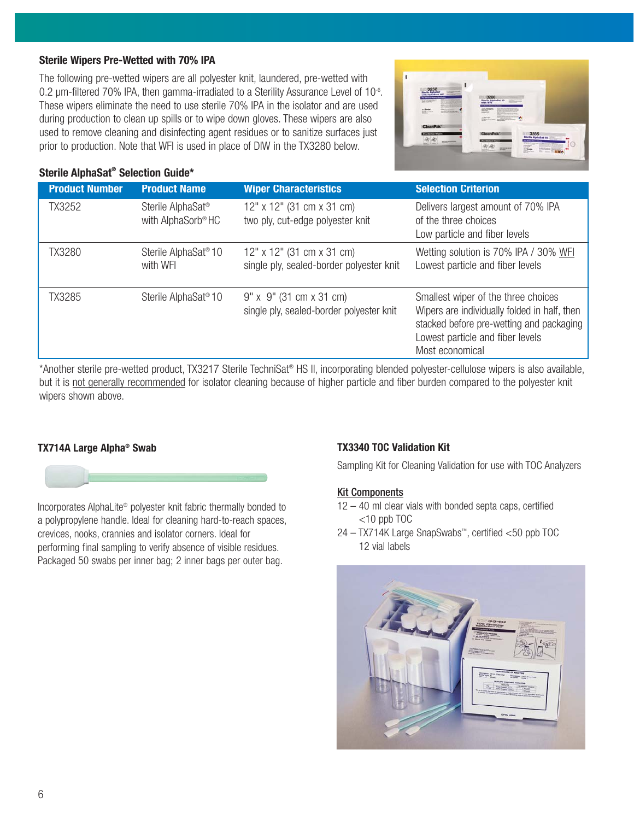# **Sterile Wipers Pre-Wetted with 70% IPA**

The following pre-wetted wipers are all polyester knit, laundered, pre-wetted with 0.2 um-filtered 70% IPA, then gamma-irradiated to a Sterility Assurance Level of 10<sup>-6</sup>. These wipers eliminate the need to use sterile 70% IPA in the isolator and are used during production to clean up spills or to wipe down gloves. These wipers are also used to remove cleaning and disinfecting agent residues or to sanitize surfaces just prior to production. Note that WFI is used in place of DIW in the TX3280 below.



# **Sterile AlphaSat® Selection Guide\***

| <b>Product Number</b> | <b>Product Name</b>                                             | <b>Wiper Characteristics</b>                                                 | <b>Selection Criterion</b>                                                                                                                                                             |
|-----------------------|-----------------------------------------------------------------|------------------------------------------------------------------------------|----------------------------------------------------------------------------------------------------------------------------------------------------------------------------------------|
| <b>TX3252</b>         | Sterile AlphaSat <sup>®</sup><br>with AlphaSorb <sup>®</sup> HC | 12" x 12" (31 cm x 31 cm)<br>two ply, cut-edge polyester knit                | Delivers largest amount of 70% IPA<br>of the three choices<br>Low particle and fiber levels                                                                                            |
| TX3280                | Sterile AlphaSat <sup>®</sup> 10<br>with WFI                    | 12" x 12" (31 cm x 31 cm)<br>single ply, sealed-border polyester knit        | Wetting solution is 70% IPA / 30% WFI<br>Lowest particle and fiber levels                                                                                                              |
| <b>TX3285</b>         | Sterile AlphaSat <sup>®</sup> 10                                | $9'' \times 9''$ (31 cm x 31 cm)<br>single ply, sealed-border polyester knit | Smallest wiper of the three choices<br>Wipers are individually folded in half, then<br>stacked before pre-wetting and packaging<br>Lowest particle and fiber levels<br>Most economical |

\*Another sterile pre-wetted product, TX3217 Sterile TechniSat® HS II, incorporating blended polyester-cellulose wipers is also available, but it is not generally recommended for isolator cleaning because of higher particle and fiber burden compared to the polyester knit wipers shown above.

# **TX714A Large Alpha® Swab**



Incorporates AlphaLite® polyester knit fabric thermally bonded to a polypropylene handle. Ideal for cleaning hard-to-reach spaces, crevices, nooks, crannies and isolator corners. Ideal for performing final sampling to verify absence of visible residues. Packaged 50 swabs per inner bag; 2 inner bags per outer bag.

# **TX3340 TOC Validation Kit**

Sampling Kit for Cleaning Validation for use with TOC Analyzers

# Kit Components

- 12 40 ml clear vials with bonded septa caps, certified  $<$ 10 ppb TOC
- 24 TX714K Large SnapSwabs™, certified <50 ppb TOC 12 vial labels

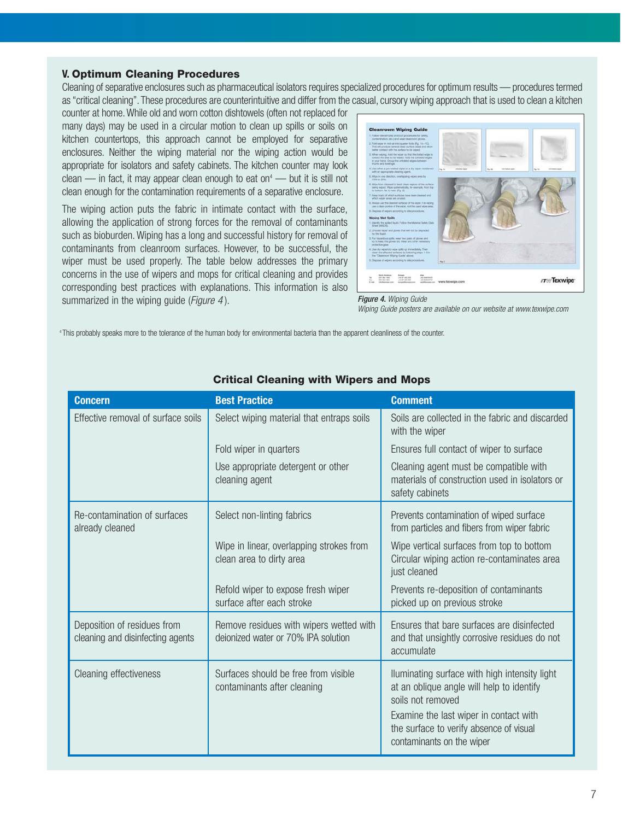#### **V. Optimum Cleaning Procedures**

Cleaning of separative enclosures such as pharmaceutical isolators requires specialized procedures for optimum results — procedures termed as "critical cleaning". These procedures are counterintuitive and differ from the casual, cursory wiping approach that is used to clean a kitchen

counter at home. While old and worn cotton dishtowels (often not replaced for many days) may be used in a circular motion to clean up spills or soils on kitchen countertops, this approach cannot be employed for separative enclosures. Neither the wiping material nor the wiping action would be appropriate for isolators and safety cabinets. The kitchen counter may look clean  $-$  in fact, it may appear clean enough to eat on<sup>4</sup>  $-$  but it is still not clean enough for the contamination requirements of a separative enclosure.

The wiping action puts the fabric in intimate contact with the surface, allowing the application of strong forces for the removal of contaminants such as bioburden. Wiping has a long and successful history for removal of contaminants from cleanroom surfaces. However, to be successful, the wiper must be used properly. The table below addresses the primary concerns in the use of wipers and mops for critical cleaning and provides corresponding best practices with explanations. This information is also summarized in the wiping guide (*Figure 4*).



#### Figure 4. Wiping Guide

Wiping Guide posters are available on our website at www.texwipe.com

<sup>4</sup> This probably speaks more to the tolerance of the human body for environmental bacteria than the apparent cleanliness of the counter.

| <b>Concern</b>                                                  | <b>Best Practice</b>                                                           | <b>Comment</b>                                                                                                                                                                                                                    |
|-----------------------------------------------------------------|--------------------------------------------------------------------------------|-----------------------------------------------------------------------------------------------------------------------------------------------------------------------------------------------------------------------------------|
| Effective removal of surface soils                              | Select wiping material that entraps soils                                      | Soils are collected in the fabric and discarded<br>with the wiper                                                                                                                                                                 |
|                                                                 | Fold wiper in quarters                                                         | Ensures full contact of wiper to surface                                                                                                                                                                                          |
|                                                                 | Use appropriate detergent or other<br>cleaning agent                           | Cleaning agent must be compatible with<br>materials of construction used in isolators or<br>safety cabinets                                                                                                                       |
| Re-contamination of surfaces<br>already cleaned                 | Select non-linting fabrics                                                     | Prevents contamination of wiped surface<br>from particles and fibers from wiper fabric                                                                                                                                            |
|                                                                 | Wipe in linear, overlapping strokes from<br>clean area to dirty area           | Wipe vertical surfaces from top to bottom<br>Circular wiping action re-contaminates area<br>just cleaned                                                                                                                          |
|                                                                 | Refold wiper to expose fresh wiper<br>surface after each stroke                | Prevents re-deposition of contaminants<br>picked up on previous stroke                                                                                                                                                            |
| Deposition of residues from<br>cleaning and disinfecting agents | Remove residues with wipers wetted with<br>deionized water or 70% IPA solution | Ensures that bare surfaces are disinfected<br>and that unsightly corrosive residues do not<br>accumulate                                                                                                                          |
| Cleaning effectiveness                                          | Surfaces should be free from visible<br>contaminants after cleaning            | Iluminating surface with high intensity light<br>at an oblique angle will help to identify<br>soils not removed<br>Examine the last wiper in contact with<br>the surface to verify absence of visual<br>contaminants on the wiper |

#### **Critical Cleaning with Wipers and Mops**